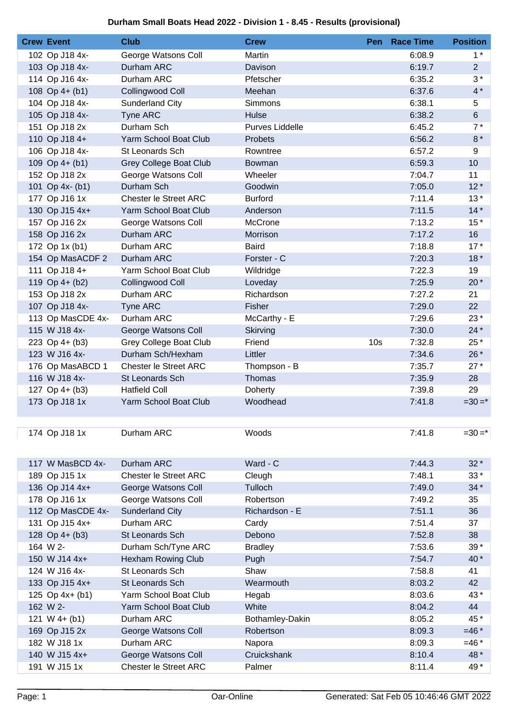## **Durham Small Boats Head 2022 - Division 1 - 8.45 - Results (provisional)**

| <b>Crew Event</b> | <b>Club</b>                   | <b>Crew</b>            | Pen             | <b>Race Time</b> | <b>Position</b> |
|-------------------|-------------------------------|------------------------|-----------------|------------------|-----------------|
| 102 Op J18 4x-    | George Watsons Coll           | Martin                 |                 | 6:08.9           | $1^*$           |
| 103 Op J18 4x-    | Durham ARC                    | Davison                |                 | 6:19.7           | $2^{\circ}$     |
| 114 Op J16 4x-    | Durham ARC                    | Pfetscher              |                 | 6:35.2           | $3*$            |
| 108 Op $4+$ (b1)  | Collingwood Coll              | Meehan                 |                 | 6:37.6           | $4*$            |
| 104 Op J18 4x-    | <b>Sunderland City</b>        | Simmons                |                 | 6:38.1           | 5               |
| 105 Op J18 4x-    | Tyne ARC                      | Hulse                  |                 | 6:38.2           | $6\phantom{.}$  |
| 151 Op J18 2x     | Durham Sch                    | <b>Purves Liddelle</b> |                 | 6:45.2           | $7*$            |
| 110 Op J18 4+     | Yarm School Boat Club         | Probets                |                 | 6:56.2           | $8*$            |
| 106 Op J18 4x-    | St Leonards Sch               | Rowntree               |                 | 6:57.2           | 9               |
| 109 Op $4+ (b1)$  | <b>Grey College Boat Club</b> | Bowman                 |                 | 6:59.3           | 10              |
| 152 Op J18 2x     | George Watsons Coll           | Wheeler                |                 | 7:04.7           | 11              |
| 101 Op 4x- (b1)   | Durham Sch                    | Goodwin                |                 | 7:05.0           | $12*$           |
| 177 Op J16 1x     | Chester le Street ARC         | <b>Burford</b>         |                 | 7:11.4           | $13*$           |
| 130 Op J15 4x+    | Yarm School Boat Club         | Anderson               |                 | 7:11.5           | $14*$           |
| 157 Op J16 2x     | George Watsons Coll           | McCrone                |                 | 7:13.2           | $15*$           |
| 158 Op J16 2x     | Durham ARC                    | Morrison               |                 | 7:17.2           | 16              |
| 172 Op 1x (b1)    | Durham ARC                    | <b>Baird</b>           |                 | 7:18.8           | $17*$           |
| 154 Op MasACDF 2  | Durham ARC                    | Forster - C            |                 | 7:20.3           | $18*$           |
| 111 Op J18 4+     | Yarm School Boat Club         | Wildridge              |                 | 7:22.3           | 19              |
| 119 Op 4+ (b2)    | Collingwood Coll              | Loveday                |                 | 7:25.9           | $20*$           |
| 153 Op J18 2x     | Durham ARC                    | Richardson             |                 | 7:27.2           | 21              |
| 107 Op J18 4x-    | Tyne ARC                      | Fisher                 |                 | 7:29.0           | 22              |
| 113 Op MasCDE 4x- | Durham ARC                    | McCarthy - E           |                 | 7:29.6           | $23*$           |
| 115 W J18 4x-     | George Watsons Coll           | Skirving               |                 | 7:30.0           | $24*$           |
| 223 Op 4+ (b3)    | Grey College Boat Club        | Friend                 | 10 <sub>s</sub> | 7:32.8           | 25 *            |
| 123 W J16 4x-     | Durham Sch/Hexham             | Littler                |                 | 7:34.6           | 26 *            |
| 176 Op MasABCD 1  | Chester le Street ARC         | Thompson - B           |                 | 7:35.7           | $27*$           |
| 116 W J18 4x-     | St Leonards Sch               | Thomas                 |                 | 7:35.9           | 28              |
| 127 Op $4+$ (b3)  | <b>Hatfield Coll</b>          | Doherty                |                 | 7:39.8           | 29              |
| 173 Op J18 1x     | Yarm School Boat Club         | Woodhead               |                 | 7:41.8           | $=30=$ *        |
|                   |                               |                        |                 |                  |                 |
|                   |                               |                        |                 |                  |                 |
| 174 Op J18 1x     | Durham ARC                    | Woods                  |                 | 7:41.8           | $=30=$ *        |
|                   |                               |                        |                 |                  |                 |
| 117 W MasBCD 4x-  | Durham ARC                    | Ward - C               |                 | 7:44.3           | $32*$           |
| 189 Op J15 1x     | <b>Chester le Street ARC</b>  | Cleugh                 |                 | 7:48.1           | $33*$           |
| 136 Op J14 4x+    | George Watsons Coll           | Tulloch                |                 | 7:49.0           | $34*$           |
| 178 Op J16 1x     | George Watsons Coll           | Robertson              |                 | 7:49.2           | 35              |
| 112 Op MasCDE 4x- | <b>Sunderland City</b>        | Richardson - E         |                 | 7:51.1           | 36              |
| 131 Op J15 4x+    | Durham ARC                    | Cardy                  |                 | 7:51.4           | 37              |
| 128 Op 4+ (b3)    | St Leonards Sch               | Debono                 |                 | 7:52.8           | 38              |
| 164 W 2-          | Durham Sch/Tyne ARC           | <b>Bradley</b>         |                 | 7:53.6           | $39*$           |
| 150 W J14 4x+     | <b>Hexham Rowing Club</b>     | Pugh                   |                 | 7:54.7           | 40*             |
| 124 W J16 4x-     | St Leonards Sch               | Shaw                   |                 | 7:58.8           | 41              |
| 133 Op J15 4x+    | <b>St Leonards Sch</b>        | Wearmouth              |                 | 8:03.2           | 42              |
| 125 Op 4x+ (b1)   | Yarm School Boat Club         | Hegab                  |                 | 8:03.6           | 43*             |
| 162 W 2-          | Yarm School Boat Club         | White                  |                 | 8:04.2           | 44              |
| 121 W $4+$ (b1)   | Durham ARC                    | Bothamley-Dakin        |                 | 8:05.2           | 45*             |
| 169 Op J15 2x     | George Watsons Coll           | Robertson              |                 | 8:09.3           | $=46*$          |
| 182 W J18 1x      | Durham ARC                    | Napora                 |                 | 8:09.3           | $=46*$          |
| 140 W J15 4x+     | George Watsons Coll           | Cruickshank            |                 | 8:10.4           | 48*             |
| 191 W J15 1x      | <b>Chester le Street ARC</b>  | Palmer                 |                 | 8:11.4           | 49*             |